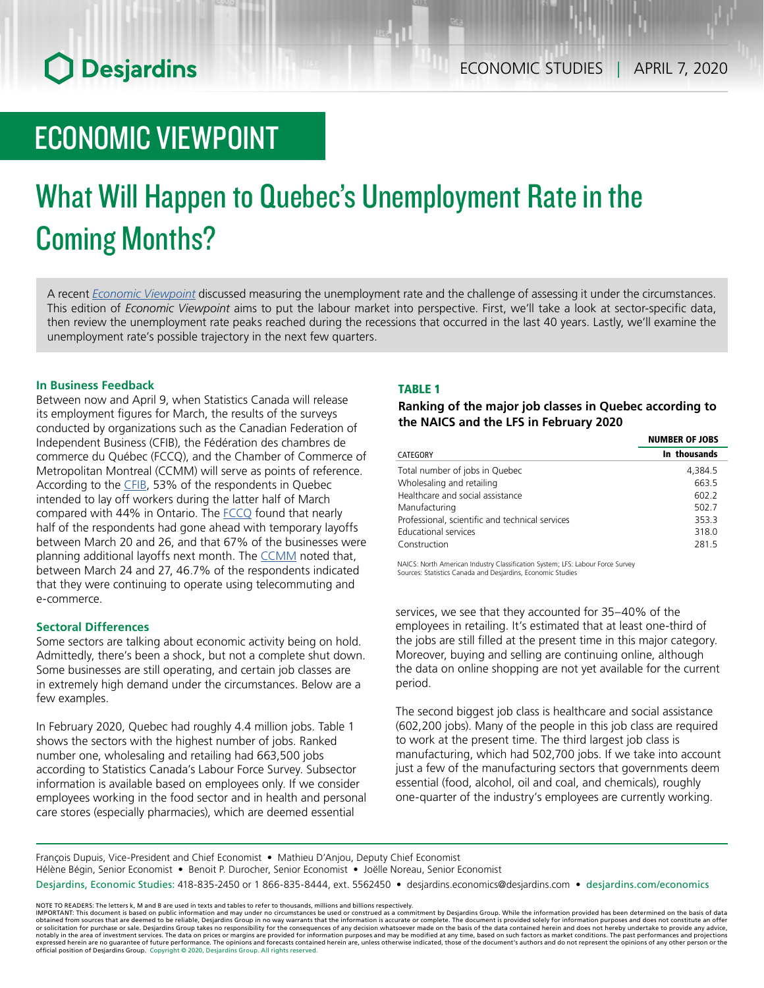# **O** Desjardins

# ECONOMIC VIEWPOINT

# What Will Happen to Quebec's Unemployment Rate in the Coming Months?

A recent *[Economic Viewpoint](https://www.desjardins.com/ressources/pdf/pv040620e.pdf?resVer=1586179292000)* discussed measuring the unemployment rate and the challenge of assessing it under the circumstances. This edition of *Economic Viewpoint* aims to put the labour market into perspective. First, we'll take a look at sector-specific data, then review the unemployment rate peaks reached during the recessions that occurred in the last 40 years. Lastly, we'll examine the unemployment rate's possible trajectory in the next few quarters.

## **In Business Feedback**

Between now and April 9, when Statistics Canada will release its employment figures for March, the results of the surveys conducted by organizations such as the Canadian Federation of Independent Business (CFIB), the Fédération des chambres de commerce du Québec (FCCQ), and the Chamber of Commerce of Metropolitan Montreal (CCMM) will serve as points of reference. According to the [CFIB](https://www.cfib-fcei.ca/sites/default/files/2020-03/business-barometer-provinces-2020-03.pdf), 53% of the respondents in Quebec intended to lay off workers during the latter half of March compared with 44% in Ontario. The **FCCQ** found that nearly half of the respondents had gone ahead with temporary layoffs between March 20 and 26, and that 67% of the businesses were planning additional layoffs next month. The [CCMM](https://www.ccmm.ca/en/medias/fiscalite-economie/medias/covid-19-highlights-of-the-ccmm-survey-on-the-impact-of-the-crisis-and-restrictions-in-effect-on-businesses/) noted that, between March 24 and 27, 46.7% of the respondents indicated that they were continuing to operate using telecommuting and e-commerce.

### **Sectoral Differences**

Some sectors are talking about economic activity being on hold. Admittedly, there's been a shock, but not a complete shut down. Some businesses are still operating, and certain job classes are in extremely high demand under the circumstances. Below are a few examples.

In February 2020, Quebec had roughly 4.4 million jobs. Table 1 shows the sectors with the highest number of jobs. Ranked number one, wholesaling and retailing had 663,500 jobs according to Statistics Canada's Labour Force Survey. Subsector information is available based on employees only. If we consider employees working in the food sector and in health and personal care stores (especially pharmacies), which are deemed essential

# TABLE 1

*Ranking of the major job classes in Quebec according to the NAICS and the LFS in February 2020*

|                                                 | <b>NUMBER OF JOBS</b><br>In thousands |  |
|-------------------------------------------------|---------------------------------------|--|
| CATEGORY                                        |                                       |  |
| Total number of jobs in Quebec                  | 4,384.5                               |  |
| Wholesaling and retailing                       | 663.5                                 |  |
| Healthcare and social assistance                | 602.2                                 |  |
| Manufacturing                                   | 502.7                                 |  |
| Professional, scientific and technical services | 353.3                                 |  |
| <b>Educational services</b>                     | 318.0                                 |  |
| Construction                                    | 281.5                                 |  |
|                                                 |                                       |  |

NAICS: North American Industry Classification System; LFS: Labour Force Survey Sources: Statistics Canada and Desjardins, Economic Studies

services, we see that they accounted for 35–40% of the employees in retailing. It's estimated that at least one-third of the jobs are still filled at the present time in this major category. Moreover, buying and selling are continuing online, although the data on online shopping are not yet available for the current period.

The second biggest job class is healthcare and social assistance (602,200 jobs). Many of the people in this job class are required to work at the present time. The third largest job class is manufacturing, which had 502,700 jobs. If we take into account just a few of the manufacturing sectors that governments deem essential (food, alcohol, oil and coal, and chemicals), roughly one-quarter of the industry's employees are currently working.

François Dupuis, Vice-President and Chief Economist • Mathieu D'Anjou, Deputy Chief Economist Hélène Bégin, Senior Economist • Benoit P. Durocher, Senior Economist • Joëlle Noreau, Senior Economist Desjardins, Economic Studies: 418-835-2450 or 1 866-835-8444, ext. 5562450 • desjardins.economics@desjardins.com • desjardins.com/economics

NOTE TO READERS: The letters k, M and B are used in texts and tables to refer to thousands, millions and billions respectively.<br>IMPORTANT: This document is based on public information and may under no circumstances be used obtained from sources that are deemed to be reliable, Desjardins Group in no way warrants that the information is accurate or complete. The document is provided solely for information purposes and does not constitute an of expressed herein are no guarantee of future performance. The opinions and forecasts contained herein are, unless otherwise indicated, those of the document's authors and do not represent the opinions of any other person or official position of Desjardins Group. Copyright © 2020, Desjardins Group. All rights reserved.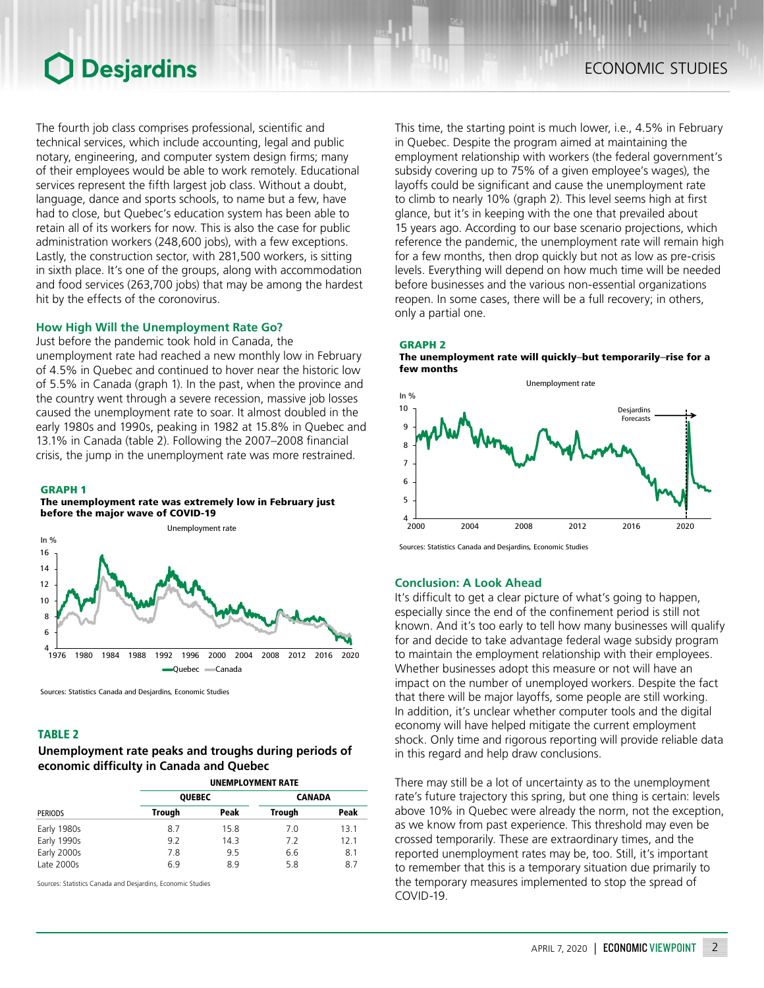# **O** Desjardins

The fourth job class comprises professional, scientific and technical services, which include accounting, legal and public notary, engineering, and computer system design firms; many of their employees would be able to work remotely. Educational services represent the fifth largest job class. Without a doubt, language, dance and sports schools, to name but a few, have had to close, but Quebec's education system has been able to retain all of its workers for now. This is also the case for public administration workers (248,600 jobs), with a few exceptions. Lastly, the construction sector, with 281,500 workers, is sitting in sixth place. It's one of the groups, along with accommodation and food services (263,700 jobs) that may be among the hardest hit by the effects of the coronovirus.

### **How High Will the Unemployment Rate Go?**

Just before the pandemic took hold in Canada, the

unemployment rate had reached a new monthly low in February of 4.5% in Quebec and continued to hover near the historic low of 5.5% in Canada (graph 1). In the past, when the province and the country went through a severe recession, massive job losses caused the unemployment rate to soar. It almost doubled in the early 1980s and 1990s, peaking in 1982 at 15.8% in Quebec and 13.1% in Canada (table 2). Following the 2007–2008 financial crisis, the jump in the unemployment rate was more restrained.

#### GRAPH 1

#### The unemployment rate was extremely low in February just before the major wave of COVID-19



Sources: Statistics Canada and Desjardins, Economic Studies

### TABLE 2

# *Unemployment rate peaks and troughs during periods of economic difficulty in Canada and Quebec*

| <b>PERIODS</b> | <b>UNEMPLOYMENT RATE</b> |      |               |      |
|----------------|--------------------------|------|---------------|------|
|                | <b>QUEBEC</b>            |      | <b>CANADA</b> |      |
|                | Trough                   | Peak | <b>Trough</b> | Peak |
| Early 1980s    | 8.7                      | 15.8 | 7.0           | 13.1 |
| Early 1990s    | 9.2                      | 14.3 | 7.2           | 12.1 |
| Early 2000s    | 7.8                      | 9.5  | 6.6           | 8.1  |
| Late 2000s     | 6.9                      | 8.9  | 5.8           | 8.7  |

Sources: Statistics Canada and Desjardins, Economic Studies

This time, the starting point is much lower, i.e., 4.5% in February in Quebec. Despite the program aimed at maintaining the employment relationship with workers (the federal government's subsidy covering up to 75% of a given employee's wages), the layoffs could be significant and cause the unemployment rate to climb to nearly 10% (graph 2). This level seems high at first glance, but it's in keeping with the one that prevailed about 15 years ago. According to our base scenario projections, which reference the pandemic, the unemployment rate will remain high for a few months, then drop quickly but not as low as pre-crisis levels. Everything will depend on how much time will be needed before businesses and the various non-essential organizations reopen. In some cases, there will be a full recovery; in others, only a partial one.

#### GRAPH 2

The unemployment rate will quickly–but temporarily–rise for a few months



Sources: Statistics Canada and Desjardins, Economic Studies

## **Conclusion: A Look Ahead**

It's difficult to get a clear picture of what's going to happen, especially since the end of the confinement period is still not known. And it's too early to tell how many businesses will qualify for and decide to take advantage federal wage subsidy program to maintain the employment relationship with their employees. Whether businesses adopt this measure or not will have an impact on the number of unemployed workers. Despite the fact that there will be major layoffs, some people are still working. In addition, it's unclear whether computer tools and the digital economy will have helped mitigate the current employment shock. Only time and rigorous reporting will provide reliable data in this regard and help draw conclusions.

There may still be a lot of uncertainty as to the unemployment rate's future trajectory this spring, but one thing is certain: levels above 10% in Quebec were already the norm, not the exception, as we know from past experience. This threshold may even be crossed temporarily. These are extraordinary times, and the reported unemployment rates may be, too. Still, it's important to remember that this is a temporary situation due primarily to the temporary measures implemented to stop the spread of COVID-19.